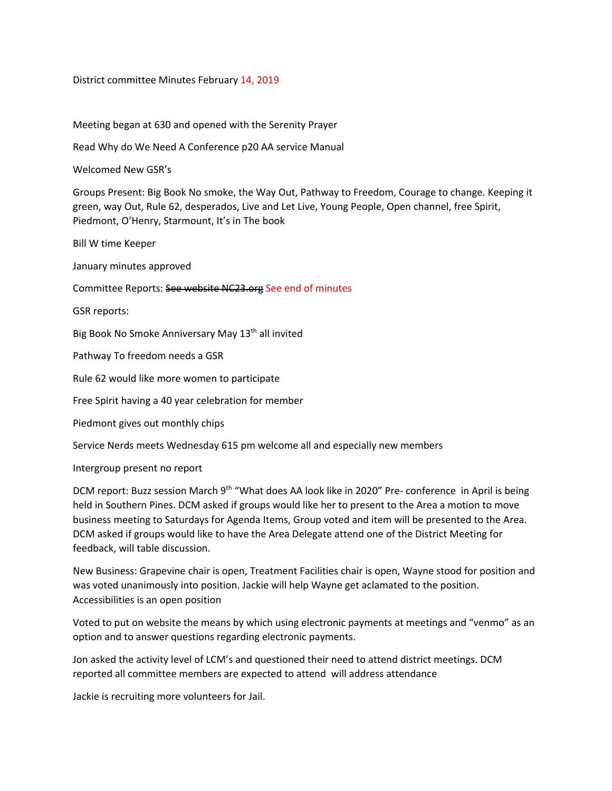District committee Minutes February 14, 2019

Meeting began at 630 and opened with the Serenity Prayer

Read Why do We Need A Conference p20 AA service Manual

Welcomed New GSR's

Groups Present: Big Book No smoke, the Way Out, Pathway to Freedom, Courage to change. Keeping it green, way Out, Rule 62, desperados, Live and Let Live, Young People, Open channel, free Spirit, Piedmont, O'Henry, Starmount, It's in The book

Bill W time Keeper

January minutes approved

Committee Reports: See website NC23.org See end of minutes

GSR reports:

Big Book No Smoke Anniversary May 13<sup>th</sup> all invited

Pathway To freedom needs a GSR

Rule 62 would like more women to participate

Free Spirit having a 40 year celebration for member

Piedmont gives out monthly chips

Service Nerds meets Wednesday 615 pm welcome all and especially new members

Intergroup present no report

DCM report: Buzz session March 9<sup>th</sup> "What does AA look like in 2020" Pre- conference in April is being held in Southern Pines. DCM asked if groups would like her to present to the Area a motion to move business meeting to Saturdays for Agenda Items, Group voted and item will be presented to the Area. DCM asked if groups would like to have the Area Delegate attend one of the District Meeting for feedback, will table discussion.

New Business: Grapevine chair is open, Treatment Facilities chair is open, Wayne stood for position and was voted unanimously into position. Jackie will help Wayne get aclamated to the position. Accessibilities is an open position

Voted to put on website the means by which using electronic payments at meetings and "venmo" as an option and to answer questions regarding electronic payments.

Jon asked the activity level of LCM's and questioned their need to attend district meetings. DCM reported all committee members are expected to attend will address attendance

Jackie is recruiting more volunteers for Jail.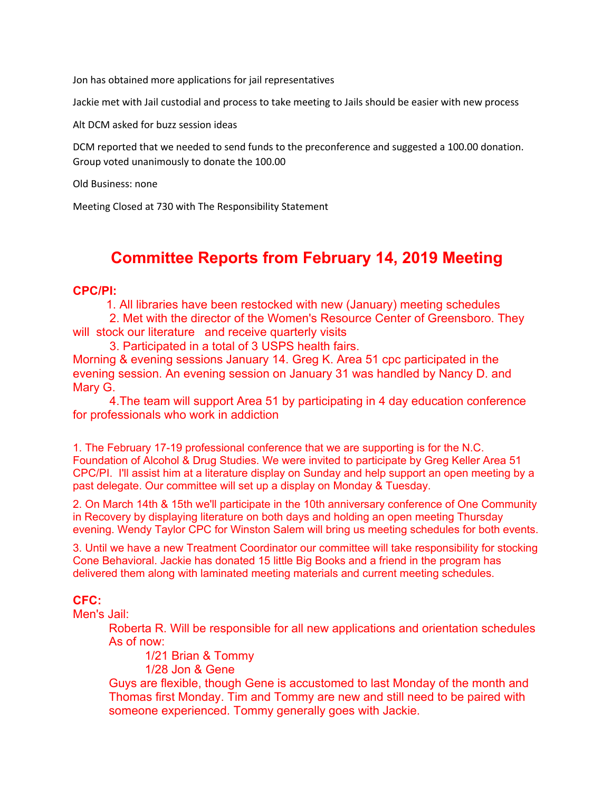Jon has obtained more applications for jail representatives

Jackie met with Jail custodial and process to take meeting to Jails should be easier with new process

Alt DCM asked for buzz session ideas

DCM reported that we needed to send funds to the preconference and suggested a 100.00 donation. Group voted unanimously to donate the 100.00

Old Business: none

Meeting Closed at 730 with The Responsibility Statement

# **Committee Reports from February 14, 2019 Meeting**

### **CPC/PI:**

1. All libraries have been restocked with new (January) meeting schedules

 2. Met with the director of the Women's Resource Center of Greensboro. They will stock our literature and receive quarterly visits

3. Participated in a total of 3 USPS health fairs.

Morning & evening sessions January 14. Greg K. Area 51 cpc participated in the evening session. An evening session on January 31 was handled by Nancy D. and Mary G.

 4.The team will support Area 51 by participating in 4 day education conference for professionals who work in addiction

1. The February 17-19 professional conference that we are supporting is for the N.C. Foundation of Alcohol & Drug Studies. We were invited to participate by Greg Keller Area 51 CPC/PI. I'll assist him at a literature display on Sunday and help support an open meeting by a past delegate. Our committee will set up a display on Monday & Tuesday.

2. On March 14th & 15th we'll participate in the 10th anniversary conference of One Community in Recovery by displaying literature on both days and holding an open meeting Thursday evening. Wendy Taylor CPC for Winston Salem will bring us meeting schedules for both events.

3. Until we have a new Treatment Coordinator our committee will take responsibility for stocking Cone Behavioral. Jackie has donated 15 little Big Books and a friend in the program has delivered them along with laminated meeting materials and current meeting schedules.

## **CFC:**

Men's Jail:

Roberta R. Will be responsible for all new applications and orientation schedules As of now:

1/21 Brian & Tommy

1/28 Jon & Gene

Guys are flexible, though Gene is accustomed to last Monday of the month and Thomas first Monday. Tim and Tommy are new and still need to be paired with someone experienced. Tommy generally goes with Jackie.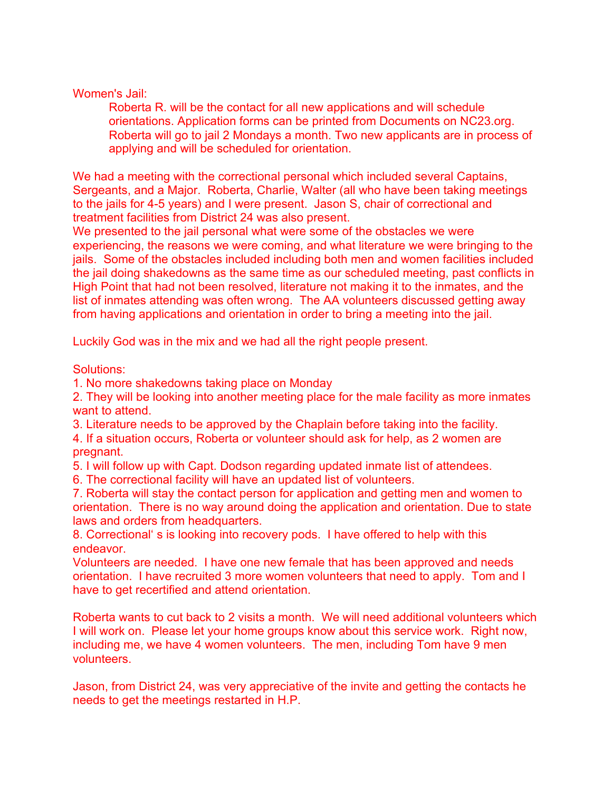## Women's Jail:

Roberta R. will be the contact for all new applications and will schedule orientations. Application forms can be printed from Documents on NC23.org. Roberta will go to jail 2 Mondays a month. Two new applicants are in process of applying and will be scheduled for orientation.

We had a meeting with the correctional personal which included several Captains, Sergeants, and a Major. Roberta, Charlie, Walter (all who have been taking meetings to the jails for 4-5 years) and I were present. Jason S, chair of correctional and treatment facilities from District 24 was also present.

We presented to the jail personal what were some of the obstacles we were experiencing, the reasons we were coming, and what literature we were bringing to the jails. Some of the obstacles included including both men and women facilities included the jail doing shakedowns as the same time as our scheduled meeting, past conflicts in High Point that had not been resolved, literature not making it to the inmates, and the list of inmates attending was often wrong. The AA volunteers discussed getting away from having applications and orientation in order to bring a meeting into the jail.

Luckily God was in the mix and we had all the right people present.

Solutions:

1. No more shakedowns taking place on Monday

2. They will be looking into another meeting place for the male facility as more inmates want to attend.

3. Literature needs to be approved by the Chaplain before taking into the facility.

4. If a situation occurs, Roberta or volunteer should ask for help, as 2 women are pregnant.

5. I will follow up with Capt. Dodson regarding updated inmate list of attendees.

6. The correctional facility will have an updated list of volunteers.

7. Roberta will stay the contact person for application and getting men and women to orientation. There is no way around doing the application and orientation. Due to state laws and orders from headquarters.

8. Correctional' s is looking into recovery pods. I have offered to help with this endeavor.

Volunteers are needed. I have one new female that has been approved and needs orientation. I have recruited 3 more women volunteers that need to apply. Tom and I have to get recertified and attend orientation.

Roberta wants to cut back to 2 visits a month. We will need additional volunteers which I will work on. Please let your home groups know about this service work. Right now, including me, we have 4 women volunteers. The men, including Tom have 9 men volunteers.

Jason, from District 24, was very appreciative of the invite and getting the contacts he needs to get the meetings restarted in H.P.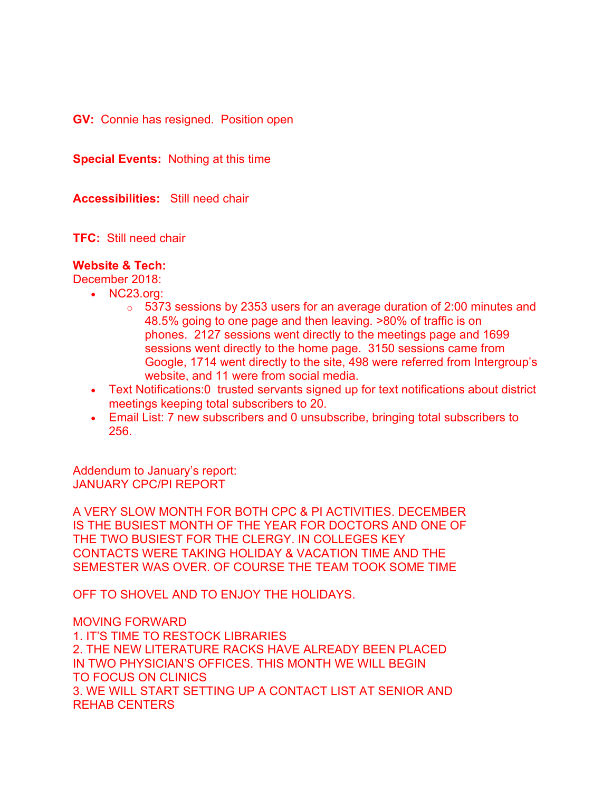**GV:** Connie has resigned. Position open

**Special Events:** Nothing at this time

**Accessibilities:** Still need chair

**TFC:** Still need chair

#### **Website & Tech:**

December 2018:

- NC23.org:
	- o 5373 sessions by 2353 users for an average duration of 2:00 minutes and 48.5% going to one page and then leaving. >80% of traffic is on phones. 2127 sessions went directly to the meetings page and 1699 sessions went directly to the home page. 3150 sessions came from Google, 1714 went directly to the site, 498 were referred from Intergroup's website, and 11 were from social media.
- Text Notifications:0 trusted servants signed up for text notifications about district meetings keeping total subscribers to 20.
- Email List: 7 new subscribers and 0 unsubscribe, bringing total subscribers to 256.

Addendum to January's report: JANUARY CPC/PI REPORT

A VERY SLOW MONTH FOR BOTH CPC & PI ACTIVITIES. DECEMBER IS THE BUSIEST MONTH OF THE YEAR FOR DOCTORS AND ONE OF THE TWO BUSIEST FOR THE CLERGY. IN COLLEGES KEY CONTACTS WERE TAKING HOLIDAY & VACATION TIME AND THE SEMESTER WAS OVER. OF COURSE THE TEAM TOOK SOME TIME

OFF TO SHOVEL AND TO ENJOY THE HOLIDAYS.

MOVING FORWARD 1. IT'S TIME TO RESTOCK LIBRARIES 2. THE NEW LITERATURE RACKS HAVE ALREADY BEEN PLACED IN TWO PHYSICIAN'S OFFICES. THIS MONTH WE WILL BEGIN TO FOCUS ON CLINICS 3. WE WILL START SETTING UP A CONTACT LIST AT SENIOR AND REHAB CENTERS